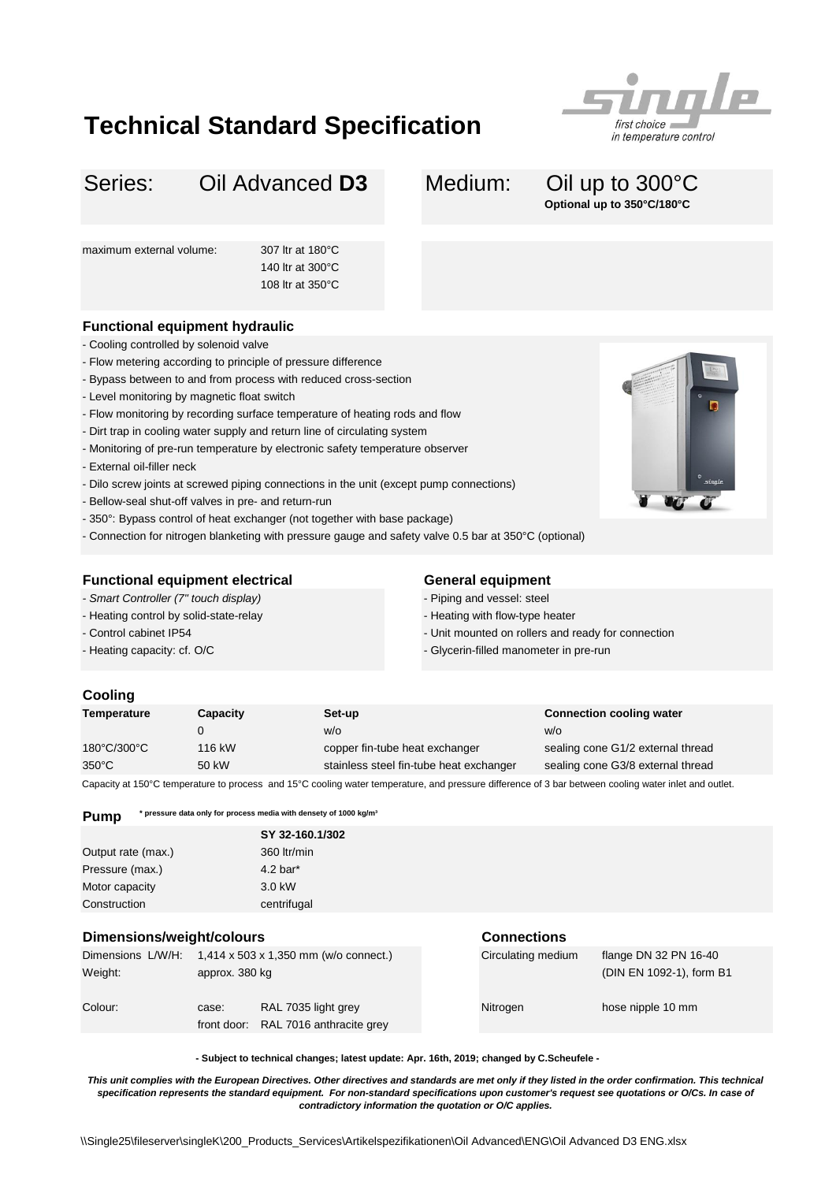## **Technical Standard Specification**



#### Series: Oil Advanced D3 Medium: Oil up to 300°C Oil Advanced **D3**

# **Optional up to 350°C/180°C**

maximum external volume: 307 ltr at 180°C

140 ltr at 300°C 108 ltr at 350°C

## **Functional equipment hydraulic**

- Cooling controlled by solenoid valve
- Flow metering according to principle of pressure difference
- Bypass between to and from process with reduced cross-section
- Level monitoring by magnetic float switch
- Flow monitoring by recording surface temperature of heating rods and flow
- Dirt trap in cooling water supply and return line of circulating system
- Monitoring of pre-run temperature by electronic safety temperature observer
- External oil-filler neck
- Dilo screw joints at screwed piping connections in the unit (except pump connections)
- Bellow-seal shut-off valves in pre- and return-run
- 350°: Bypass control of heat exchanger (not together with base package)
- Connection for nitrogen blanketing with pressure gauge and safety valve 0.5 bar at 350°C (optional)

### **Functional equipment electrical <b>General equipment**

- *Smart Controller (7" touch display)*
- Heating control by solid-state-relay
- Control cabinet IP54
- Heating capacity: cf. O/C

- Piping and vessel: steel
- Heating with flow-type heater
- Unit mounted on rollers and ready for connection
- Glycerin-filled manometer in pre-run

#### **Cooling**

| Temperature     | Capacity | Set-up                                                                                                                                                                            | <b>Connection cooling water</b>   |
|-----------------|----------|-----------------------------------------------------------------------------------------------------------------------------------------------------------------------------------|-----------------------------------|
|                 |          | W/O                                                                                                                                                                               | w/o                               |
| 180°C/300°C     | 116 kW   | copper fin-tube heat exchanger                                                                                                                                                    | sealing cone G1/2 external thread |
| $350^{\circ}$ C | 50 kW    | stainless steel fin-tube heat exchanger                                                                                                                                           | sealing cone G3/8 external thread |
|                 |          | $\bigcap$ , $\bigcup$ , $\bigcap$ , $\bigcap$ , $\bigcap$ , $\bigcap$ , $\bigcap$ , $\bigcap$ , $\bigcap$ , $\bigcap$ , $\bigcap$ , $\bigcap$ , $\bigcap$ , $\bigcap$ , $\bigcap$ |                                   |

Capacity at 150°C temperature to process and 15°C cooling water temperature, and pressure difference of 3 bar between cooling water inlet and outlet.

**Pump** \* pressure data only for process media with densety of 1000 kg/m<sup>3</sup>

|                    | SY 32-160.1/302        |
|--------------------|------------------------|
| Output rate (max.) | 360 ltr/min            |
| Pressure (max.)    | $4.2$ bar <sup>*</sup> |
| Motor capacity     | 3.0 kW                 |
| Construction       | centrifugal            |

### **Dimensions/weight/colours Connections**

| Dimensions L/W/H:<br>Weight: | $1,414 \times 503 \times 1,350 \text{ mm}$ (w/o connect.)<br>approx. 380 kg |                                                             | Circulating medium | flange DN 32 PN 16-40<br>(DIN EN 1092-1), form B1 |
|------------------------------|-----------------------------------------------------------------------------|-------------------------------------------------------------|--------------------|---------------------------------------------------|
| Colour:                      | case:                                                                       | RAL 7035 light grey<br>front door: RAL 7016 anthracite grey | Nitrogen           | hose nipple 10 mm                                 |

**- Subject to technical changes; latest update: Apr. 16th, 2019; changed by C.Scheufele -**

*This unit complies with the European Directives. Other directives and standards are met only if they listed in the order confirmation. This technical specification represents the standard equipment. For non-standard specifications upon customer's request see quotations or O/Cs. In case of contradictory information the quotation or O/C applies.*